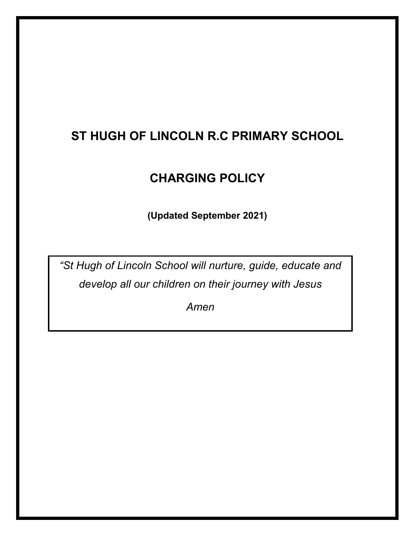# **ST HUGH OF LINCOLN R.C PRIMARY SCHOOL**

## **CHARGING POLICY**

**(Updated September 2021)**

*"St Hugh of Lincoln School will nurture, guide, educate and develop all our children on their journey with Jesus*

*Amen*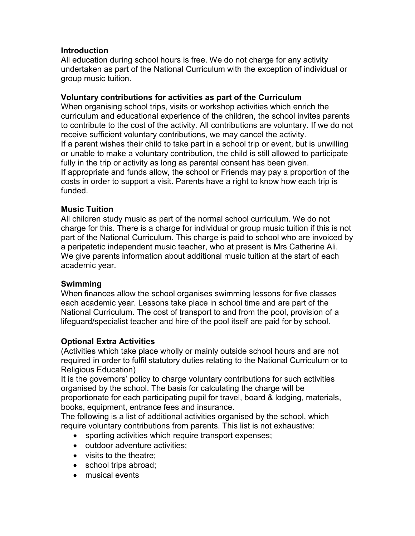## **Introduction**

All education during school hours is free. We do not charge for any activity undertaken as part of the National Curriculum with the exception of individual or group music tuition.

## **Voluntary contributions for activities as part of the Curriculum**

When organising school trips, visits or workshop activities which enrich the curriculum and educational experience of the children, the school invites parents to contribute to the cost of the activity. All contributions are voluntary. If we do not receive sufficient voluntary contributions, we may cancel the activity. If a parent wishes their child to take part in a school trip or event, but is unwilling or unable to make a voluntary contribution, the child is still allowed to participate fully in the trip or activity as long as parental consent has been given. If appropriate and funds allow, the school or Friends may pay a proportion of the costs in order to support a visit. Parents have a right to know how each trip is funded.

## **Music Tuition**

All children study music as part of the normal school curriculum. We do not charge for this. There is a charge for individual or group music tuition if this is not part of the National Curriculum. This charge is paid to school who are invoiced by a peripatetic independent music teacher, who at present is Mrs Catherine Ali. We give parents information about additional music tuition at the start of each academic year.

## **Swimming**

When finances allow the school organises swimming lessons for five classes each academic year. Lessons take place in school time and are part of the National Curriculum. The cost of transport to and from the pool, provision of a lifeguard/specialist teacher and hire of the pool itself are paid for by school.

## **Optional Extra Activities**

(Activities which take place wholly or mainly outside school hours and are not required in order to fulfil statutory duties relating to the National Curriculum or to Religious Education)

It is the governors' policy to charge voluntary contributions for such activities organised by the school. The basis for calculating the charge will be proportionate for each participating pupil for travel, board & lodging, materials, books, equipment, entrance fees and insurance.

The following is a list of additional activities organised by the school, which require voluntary contributions from parents. This list is not exhaustive:

- sporting activities which require transport expenses;
- outdoor adventure activities;
- visits to the theatre;
- school trips abroad;
- musical events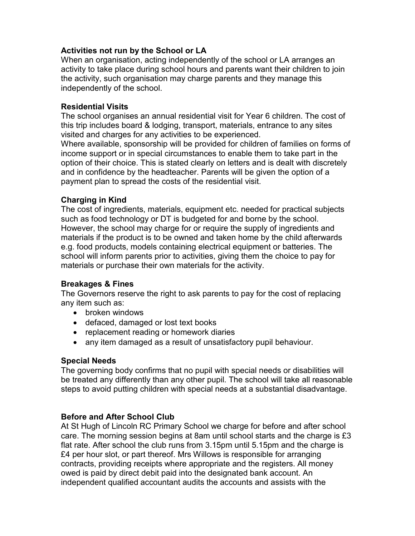## **Activities not run by the School or LA**

When an organisation, acting independently of the school or LA arranges an activity to take place during school hours and parents want their children to join the activity, such organisation may charge parents and they manage this independently of the school.

#### **Residential Visits**

The school organises an annual residential visit for Year 6 children. The cost of this trip includes board & lodging, transport, materials, entrance to any sites visited and charges for any activities to be experienced.

Where available, sponsorship will be provided for children of families on forms of income support or in special circumstances to enable them to take part in the option of their choice. This is stated clearly on letters and is dealt with discretely and in confidence by the headteacher. Parents will be given the option of a payment plan to spread the costs of the residential visit.

#### **Charging in Kind**

The cost of ingredients, materials, equipment etc. needed for practical subjects such as food technology or DT is budgeted for and borne by the school. However, the school may charge for or require the supply of ingredients and materials if the product is to be owned and taken home by the child afterwards e.g. food products, models containing electrical equipment or batteries. The school will inform parents prior to activities, giving them the choice to pay for materials or purchase their own materials for the activity.

#### **Breakages & Fines**

The Governors reserve the right to ask parents to pay for the cost of replacing any item such as:

- broken windows
- defaced, damaged or lost text books
- replacement reading or homework diaries
- any item damaged as a result of unsatisfactory pupil behaviour.

#### **Special Needs**

The governing body confirms that no pupil with special needs or disabilities will be treated any differently than any other pupil. The school will take all reasonable steps to avoid putting children with special needs at a substantial disadvantage.

#### **Before and After School Club**

At St Hugh of Lincoln RC Primary School we charge for before and after school care. The morning session begins at 8am until school starts and the charge is £3 flat rate. After school the club runs from 3.15pm until 5.15pm and the charge is £4 per hour slot, or part thereof. Mrs Willows is responsible for arranging contracts, providing receipts where appropriate and the registers. All money owed is paid by direct debit paid into the designated bank account. An independent qualified accountant audits the accounts and assists with the